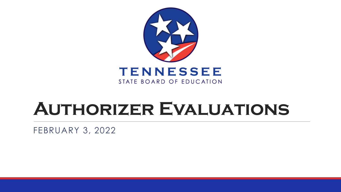

## **Authorizer Evaluations**

FEBRUARY 3, 2022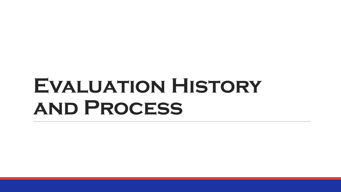# **Evaluation History and Process**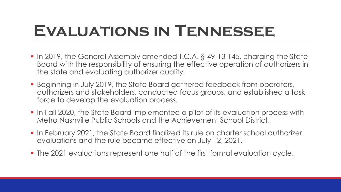# **Evaluations in Tennessee**

- In 2019, the General Assembly amended T.C.A. § 49-13-145, charging the State Board with the responsibility of ensuring the effective operation of authorizers in the state and evaluating authorizer quality.
- Beginning in July 2019, the State Board gathered feedback from operators, authorizers and stakeholders, conducted focus groups, and established a task force to develop the evaluation process.
- In Fall 2020, the State Board implemented a pilot of its evaluation process with Metro Nashville Public Schools and the Achievement School District.
- In February 2021, the State Board finalized its rule on charter school authorizer evaluations and the rule became effective on July 12, 2021.
- The 2021 evaluations represent one half of the first formal evaluation cycle.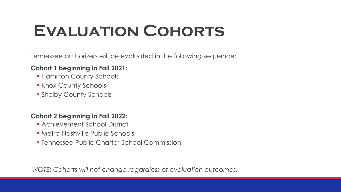### **Evaluation Cohorts**

Tennessee authorizers will be evaluated in the following sequence:

#### **Cohort 1 beginning in Fall 2021:**

- **Hamilton County Schools**
- **Knox County Schools**
- **Shelby County Schools**

#### **Cohort 2 beginning in Fall 2022:**

- Achievement School District
- **Metro Nashville Public Schools**
- **Example 3 Figure 1 Feature I Commission**

*NOTE: Cohorts will not change regardless of evaluation outcomes.*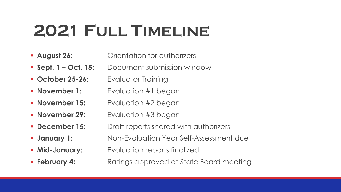# **2021 Full Timeline**

- **August 26: Commentation for authorizers**
- **Sept. 1 Oct. 15:** Document submission window
- **October 25-26:** Evaluator Training
- **November 1:** Evaluation #1 began
- **November 15:** Evaluation #2 began
- **November 29:** Evaluation #3 began
- **December 15:** Draft reports shared with authorizers
- **January 1:** Non-Evaluation Year Self-Assessment due
- **Mid-January:** Evaluation reports finalized
- **February 4:** Ratings approved at State Board meeting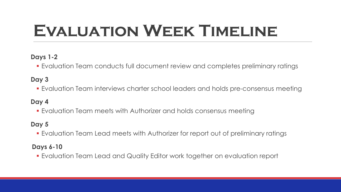# **Evaluation Week Timeline**

#### **Days 1-2**

Evaluation Team conducts full document review and completes preliminary ratings

#### **Day 3**

Evaluation Team interviews charter school leaders and holds pre-consensus meeting

#### **Day 4**

Evaluation Team meets with Authorizer and holds consensus meeting

#### **Day 5**

Evaluation Team Lead meets with Authorizer for report out of preliminary ratings

#### **Days 6-10**

Evaluation Team Lead and Quality Editor work together on evaluation report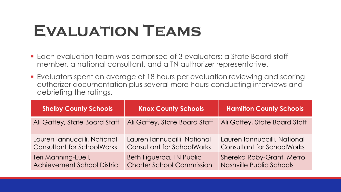### **Evaluation Teams**

- Each evaluation team was comprised of 3 evaluators: a State Board staff member, a national consultant, and a TN authorizer representative.
- Evaluators spent an average of 18 hours per evaluation reviewing and scoring authorizer documentation plus several more hours conducting interviews and debriefing the ratings.

| <b>Shelby County Schools</b>       | <b>Knox County Schools</b>        | <b>Hamilton County Schools</b>    |
|------------------------------------|-----------------------------------|-----------------------------------|
| Ali Gaffey, State Board Staff      | Ali Gaffey, State Board Staff     | Ali Gaffey, State Board Staff     |
| Lauren Iannuccilli, National       | Lauren Iannuccilli, National      | Lauren Iannuccilli, National      |
| <b>Consultant for SchoolWorks</b>  | <b>Consultant for SchoolWorks</b> | <b>Consultant for SchoolWorks</b> |
| Teri Manning-Euell,                | Beth Figueroa, TN Public          | Shereka Roby-Grant, Metro         |
| <b>Achievement School District</b> | <b>Charter School Commission</b>  | Nashville Public Schools          |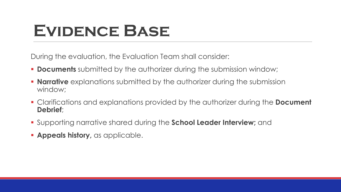### **Evidence Base**

During the evaluation, the Evaluation Team shall consider:

- **Documents** submitted by the authorizer during the submission window;
- **Narrative** explanations submitted by the authorizer during the submission window;
- Clarifications and explanations provided by the authorizer during the **Document Debrief**;
- Supporting narrative shared during the **School Leader Interview;** and
- **Appeals history**, as applicable.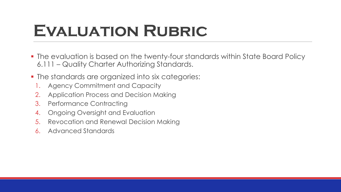### **Evaluation Rubric**

- The evaluation is based on the twenty-four standards within State Board Policy 6.111 – Quality Charter Authorizing Standards.
- **-** The standards are organized into six categories:
	- 1. Agency Commitment and Capacity
	- 2. Application Process and Decision Making
	- 3. Performance Contracting
	- 4. Ongoing Oversight and Evaluation
	- 5. Revocation and Renewal Decision Making
	- 6. Advanced Standards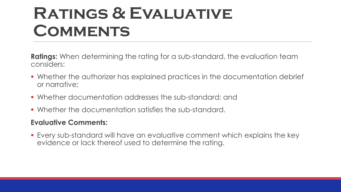### **Ratings & Evaluative Comments**

**Ratings:** When determining the rating for a sub-standard, the evaluation team considers:

- Whether the authorizer has explained practices in the documentation debrief or narrative;
- Whether documentation addresses the sub-standard; and
- Whether the documentation satisfies the sub-standard.

#### **Evaluative Comments:**

 Every sub-standard will have an evaluative comment which explains the key evidence or lack thereof used to determine the rating.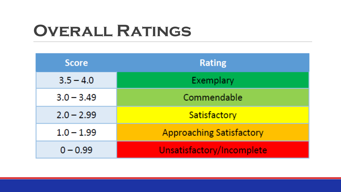### **Overall Ratings**

| <b>Score</b> | <b>Rating</b>                   |
|--------------|---------------------------------|
| $3.5 - 4.0$  | Exemplary                       |
| $3.0 - 3.49$ | Commendable                     |
| $2.0 - 2.99$ | Satisfactory                    |
| $1.0 - 1.99$ | <b>Approaching Satisfactory</b> |
| $0 - 0.99$   | Unsatisfactory/Incomplete       |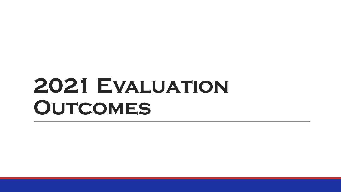# **2021 Evaluation Outcomes**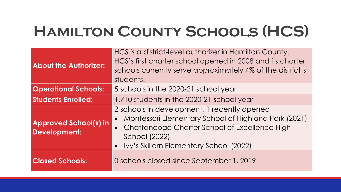### **Hamilton County Schools (HCS)**

| <b>About the Authorizer:</b>                        | HCS is a district-level authorizer in Hamilton County.<br>HCS's first charter school opened in 2008 and its charter<br>schools currently serve approximately 4% of the district's<br>students.                              |
|-----------------------------------------------------|-----------------------------------------------------------------------------------------------------------------------------------------------------------------------------------------------------------------------------|
| <b>Operational Schools:</b>                         | 5 schools in the 2020-21 school year                                                                                                                                                                                        |
| <b>Students Enrolled:</b>                           | 1,710 students in the 2020-21 school year                                                                                                                                                                                   |
| <b>Approved School(s) in</b><br><b>Development:</b> | 2 schools in development, 1 recently opened<br>Montessori Elementary School of Highland Park (2021)<br>• Chattanooga Charter School of Excellence High<br><b>School (2022)</b><br>• Ivy's Skillern Elementary School (2022) |
| <b>Closed Schools:</b>                              | 0 schools closed since September 1, 2019                                                                                                                                                                                    |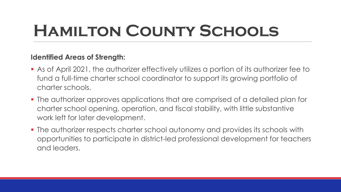# **Hamilton County Schools**

#### **Identified Areas of Strength:**

- As of April 2021, the authorizer effectively utilizes a portion of its authorizer fee to fund a full-time charter school coordinator to support its growing portfolio of charter schools.
- The authorizer approves applications that are comprised of a detailed plan for charter school opening, operation, and fiscal stability, with little substantive work left for later development.
- The authorizer respects charter school autonomy and provides its schools with opportunities to participate in district-led professional development for teachers and leaders.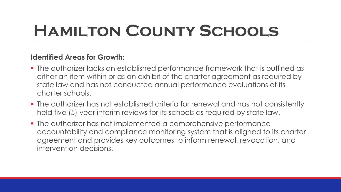# **Hamilton County Schools**

#### **Identified Areas for Growth:**

- The authorizer lacks an established performance framework that is outlined as either an item within or as an exhibit of the charter agreement as required by state law and has not conducted annual performance evaluations of its charter schools.
- **The authorizer has not established criteria for renewal and has not consistently** held five (5) year interim reviews for its schools as required by state law.
- **The authorizer has not implemented a comprehensive performance** accountability and compliance monitoring system that is aligned to its charter agreement and provides key outcomes to inform renewal, revocation, and intervention decisions.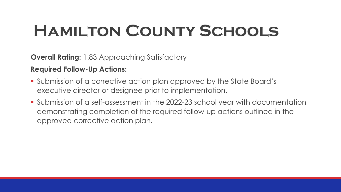# **Hamilton County Schools**

**Overall Rating:** 1.83 Approaching Satisfactory

**Required Follow-Up Actions:**

- Submission of a corrective action plan approved by the State Board's executive director or designee prior to implementation.
- Submission of a self-assessment in the 2022-23 school year with documentation demonstrating completion of the required follow-up actions outlined in the approved corrective action plan.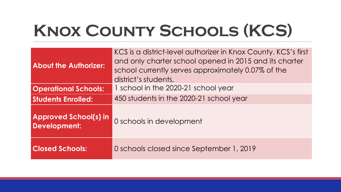# **Knox County Schools (KCS)**

| <b>About the Authorizer:</b>                        | KCS is a district-level authorizer in Knox County. KCS's first<br>and only charter school opened in 2015 and its charter<br>school currently serves approximately 0.07% of the<br>district's students. |
|-----------------------------------------------------|--------------------------------------------------------------------------------------------------------------------------------------------------------------------------------------------------------|
| <b>Operational Schools:</b>                         | 1 school in the 2020-21 school year                                                                                                                                                                    |
| <b>Students Enrolled:</b>                           | 450 students in the 2020-21 school year                                                                                                                                                                |
| <b>Approved School(s) in</b><br><b>Development:</b> | 0 schools in development                                                                                                                                                                               |
| <b>Closed Schools:</b>                              | 0 schools closed since September 1, 2019                                                                                                                                                               |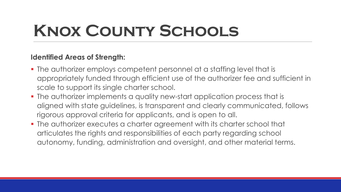# **Knox County Schools**

#### **Identified Areas of Strength:**

- The authorizer employs competent personnel at a staffing level that is appropriately funded through efficient use of the authorizer fee and sufficient in scale to support its single charter school.
- The authorizer implements a quality new-start application process that is aligned with state guidelines, is transparent and clearly communicated, follows rigorous approval criteria for applicants, and is open to all.
- The authorizer executes a charter agreement with its charter school that articulates the rights and responsibilities of each party regarding school autonomy, funding, administration and oversight, and other material terms.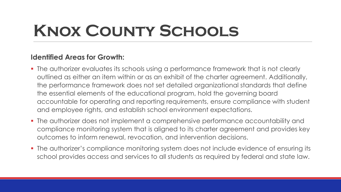# **Knox County Schools**

#### **Identified Areas for Growth:**

- The authorizer evaluates its schools using a performance framework that is not clearly outlined as either an item within or as an exhibit of the charter agreement. Additionally, the performance framework does not set detailed organizational standards that define the essential elements of the educational program, hold the governing board accountable for operating and reporting requirements, ensure compliance with student and employee rights, and establish school environment expectations.
- The authorizer does not implement a comprehensive performance accountability and compliance monitoring system that is aligned to its charter agreement and provides key outcomes to inform renewal, revocation, and intervention decisions.
- The authorizer's compliance monitoring system does not include evidence of ensuring its school provides access and services to all students as required by federal and state law.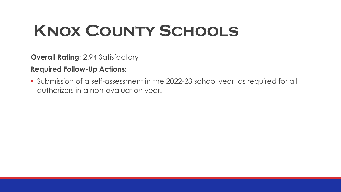# **Knox County Schools**

**Overall Rating:** 2.94 Satisfactory

**Required Follow-Up Actions:**

 Submission of a self-assessment in the 2022-23 school year, as required for all authorizers in a non-evaluation year.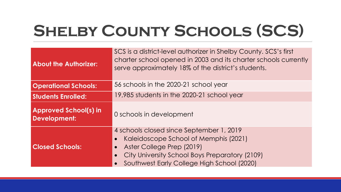# **Shelby County Schools (SCS)**

| <b>About the Authorizer:</b>                        | SCS is a district-level authorizer in Shelby County. SCS's first<br>charter school opened in 2003 and its charter schools currently<br>serve approximately 18% of the district's students.                                               |
|-----------------------------------------------------|------------------------------------------------------------------------------------------------------------------------------------------------------------------------------------------------------------------------------------------|
| <b>Operational Schools:</b>                         | 56 schools in the 2020-21 school year                                                                                                                                                                                                    |
| <b>Students Enrolled:</b>                           | 19,985 students in the 2020-21 school year                                                                                                                                                                                               |
| <b>Approved School(s) in</b><br><b>Development:</b> | 0 schools in development                                                                                                                                                                                                                 |
| <b>Closed Schools:</b>                              | 4 schools closed since September 1, 2019<br>Kaleidoscope School of Memphis (2021)<br>$\bullet$<br>Aster College Prep (2019)<br>$\bullet$<br>City University School Boys Preparatory (2109)<br>Southwest Early College High School (2020) |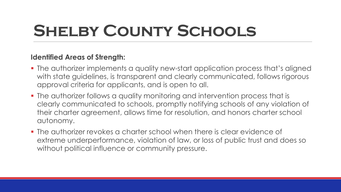# **Shelby County Schools**

#### **Identified Areas of Strength:**

- The authorizer implements a quality new-start application process that's aligned with state guidelines, is transparent and clearly communicated, follows rigorous approval criteria for applicants, and is open to all.
- **The authorizer follows a quality monitoring and intervention process that is** clearly communicated to schools, promptly notifying schools of any violation of their charter agreement, allows time for resolution, and honors charter school autonomy.
- The authorizer revokes a charter school when there is clear evidence of extreme underperformance, violation of law, or loss of public trust and does so without political influence or community pressure.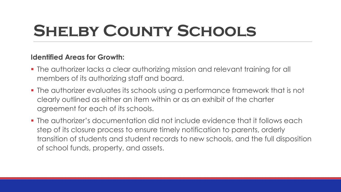# **Shelby County Schools**

#### **Identified Areas for Growth:**

- The authorizer lacks a clear authorizing mission and relevant training for all members of its authorizing staff and board.
- **The authorizer evaluates its schools using a performance framework that is not** clearly outlined as either an item within or as an exhibit of the charter agreement for each of its schools.
- The authorizer's documentation did not include evidence that it follows each step of its closure process to ensure timely notification to parents, orderly transition of students and student records to new schools, and the full disposition of school funds, property, and assets.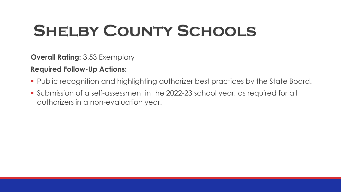# **Shelby County Schools**

**Overall Rating:** 3.53 Exemplary

**Required Follow-Up Actions:**

- **Public recognition and highlighting authorizer best practices by the State Board.**
- Submission of a self-assessment in the 2022-23 school year, as required for all authorizers in a non-evaluation year.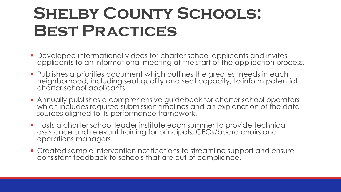### **SHELBY COUNTY SCHOOLS: Best Practices**

- Developed informational videos for charter school applicants and invites applicants to an informational meeting at the start of the application process.
- Publishes a priorities document which outlines the greatest needs in each neighborhood, including seat quality and seat capacity, to inform potential charter school applicants.
- Annually publishes a comprehensive guidebook for charter school operators which includes required submission timelines and an explanation of the data sources aligned to its performance framework.
- Hosts a charter school leader institute each summer to provide technical assistance and relevant training for principals, CEOs/board chairs and operations managers.
- Created sample intervention notifications to streamline support and ensure consistent feedback to schools that are out of compliance.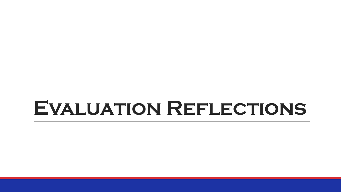### **Evaluation Reflections**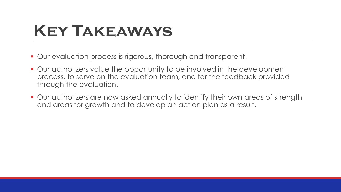### **Key Takeaways**

- Our evaluation process is rigorous, thorough and transparent.
- Our authorizers value the opportunity to be involved in the development process, to serve on the evaluation team, and for the feedback provided through the evaluation.
- Our authorizers are now asked annually to identify their own areas of strength and areas for growth and to develop an action plan as a result.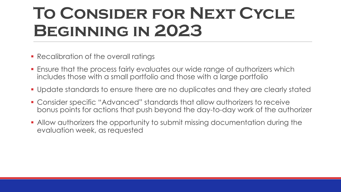## **To Consider for Next Cycle Beginning in 2023**

- **Recalibration of the overall ratings**
- **Ensure that the process fairly evaluates our wide range of authorizers which** includes those with a small portfolio and those with a large portfolio
- Update standards to ensure there are no duplicates and they are clearly stated
- Consider specific "Advanced" standards that allow authorizers to receive bonus points for actions that push beyond the day-to-day work of the authorizer
- Allow authorizers the opportunity to submit missing documentation during the evaluation week, as requested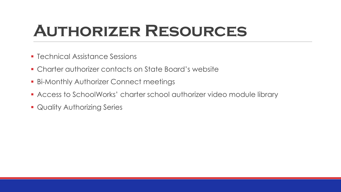### **Authorizer Resources**

- **F** Technical Assistance Sessions
- Charter authorizer contacts on State Board's website
- **Bi-Monthly Authorizer Connect meetings**
- Access to SchoolWorks' charter school authorizer video module library
- **Quality Authorizing Series**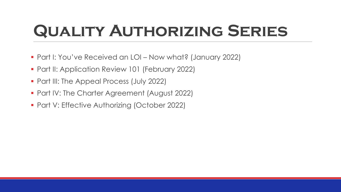# **Quality Authorizing Series**

- Part I: You've Received an LOI Now what? (January 2022)
- **Part II: Application Review 101 (February 2022)**
- Part III: The Appeal Process (July 2022)
- **Part IV: The Charter Agreement (August 2022)**
- **Part V: Effective Authorizing (October 2022)**